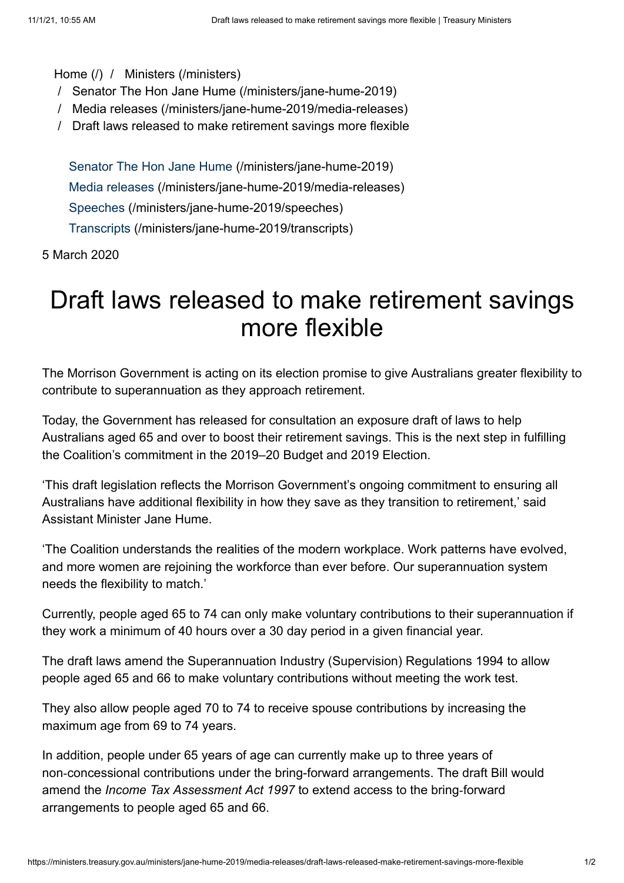## [Home \(/\)](https://ministers.treasury.gov.au/) / [Ministers \(/ministers\)](https://ministers.treasury.gov.au/ministers)

- / [Senator The Hon Jane Hume \(/ministers/jane-hume-2019\)](https://ministers.treasury.gov.au/ministers/jane-hume-2019)
- / [Media releases \(/ministers/jane-hume-2019/media-releases\)](https://ministers.treasury.gov.au/ministers/jane-hume-2019/media-releases)
- / Draft laws released to make retirement savings more flexible

[Senator The Hon Jane Hume \(/ministers/jane-hume-2019\)](https://ministers.treasury.gov.au/ministers/jane-hume-2019) [Media releases \(/ministers/jane-hume-2019/media-releases\)](https://ministers.treasury.gov.au/ministers/jane-hume-2019/media-releases) [Speeches \(/ministers/jane-hume-2019/speeches\)](https://ministers.treasury.gov.au/ministers/jane-hume-2019/speeches) [Transcripts \(/ministers/jane-hume-2019/transcripts\)](https://ministers.treasury.gov.au/ministers/jane-hume-2019/transcripts)

5 March 2020

## Draft laws released to make retirement savings more flexible

The Morrison Government is acting on its election promise to give Australians greater flexibility to contribute to superannuation as they approach retirement.

Today, the Government has released for consultation an exposure draft of laws to help Australians aged 65 and over to boost their retirement savings. This is the next step in fulfilling the Coalition's commitment in the 2019–20 Budget and 2019 Election.

'This draft legislation reflects the Morrison Government's ongoing commitment to ensuring all Australians have additional flexibility in how they save as they transition to retirement,' said Assistant Minister Jane Hume.

'The Coalition understands the realities of the modern workplace. Work patterns have evolved, and more women are rejoining the workforce than ever before. Our superannuation system needs the flexibility to match.'

Currently, people aged 65 to 74 can only make voluntary contributions to their superannuation if they work a minimum of 40 hours over a 30 day period in a given financial year.

The draft laws amend the Superannuation Industry (Supervision) Regulations 1994 to allow people aged 65 and 66 to make voluntary contributions without meeting the work test.

They also allow people aged 70 to 74 to receive spouse contributions by increasing the maximum age from 69 to 74 years.

In addition, people under 65 years of age can currently make up to three years of non‑concessional contributions under the bring-forward arrangements. The draft Bill would amend the *Income Tax Assessment Act 1997* to extend access to the bring-forward arrangements to people aged 65 and 66.